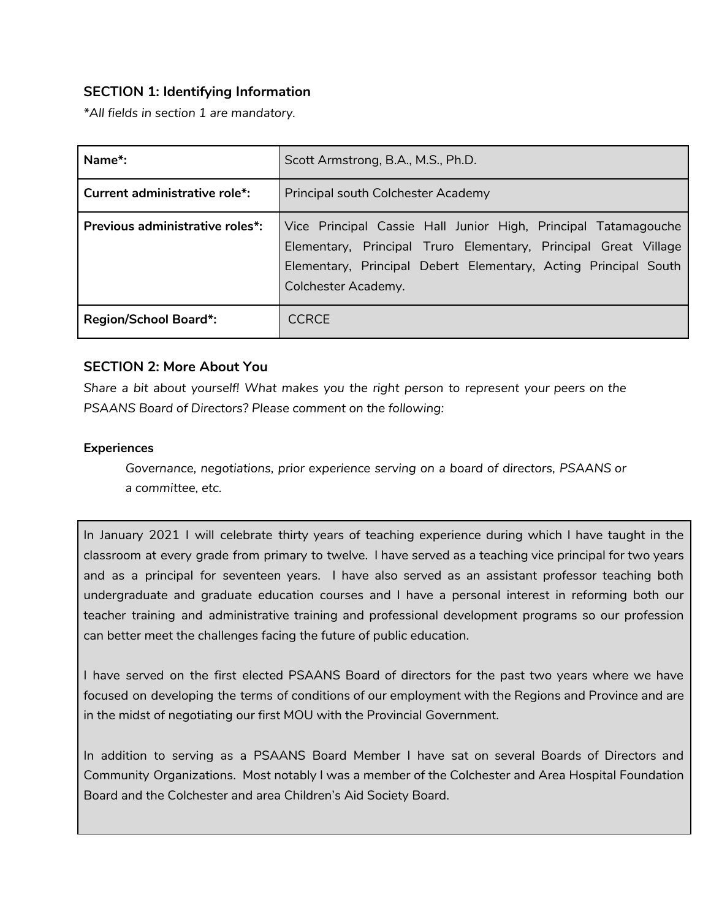# **SECTION 1: Identifying Information**

*\*All fields in section 1 are mandatory.*

| Name*:                          | Scott Armstrong, B.A., M.S., Ph.D.                                                                                                                                                                                          |
|---------------------------------|-----------------------------------------------------------------------------------------------------------------------------------------------------------------------------------------------------------------------------|
| Current administrative role*:   | Principal south Colchester Academy                                                                                                                                                                                          |
| Previous administrative roles*: | Vice Principal Cassie Hall Junior High, Principal Tatamagouche<br>Elementary, Principal Truro Elementary, Principal Great Village<br>Elementary, Principal Debert Elementary, Acting Principal South<br>Colchester Academy. |
| <b>Region/School Board*:</b>    | <b>CCRCE</b>                                                                                                                                                                                                                |

## **SECTION 2: More About You**

*Share a bit about yourself! What makes you the right person to represent your peers on the PSAANS Board of Directors? Please comment on the following:*

### **Experiences**

*Governance, negotiations, prior experience serving on a board of directors, PSAANS or a committee, etc.*

In January 2021 I will celebrate thirty years of teaching experience during which I have taught in the classroom at every grade from primary to twelve. I have served as a teaching vice principal for two years and as a principal for seventeen years. I have also served as an assistant professor teaching both undergraduate and graduate education courses and I have a personal interest in reforming both our teacher training and administrative training and professional development programs so our profession can better meet the challenges facing the future of public education.

I have served on the first elected PSAANS Board of directors for the past two years where we have focused on developing the terms of conditions of our employment with the Regions and Province and are in the midst of negotiating our first MOU with the Provincial Government.

In addition to serving as a PSAANS Board Member I have sat on several Boards of Directors and Community Organizations. Most notably I was a member of the Colchester and Area Hospital Foundation Board and the Colchester and area Children's Aid Society Board.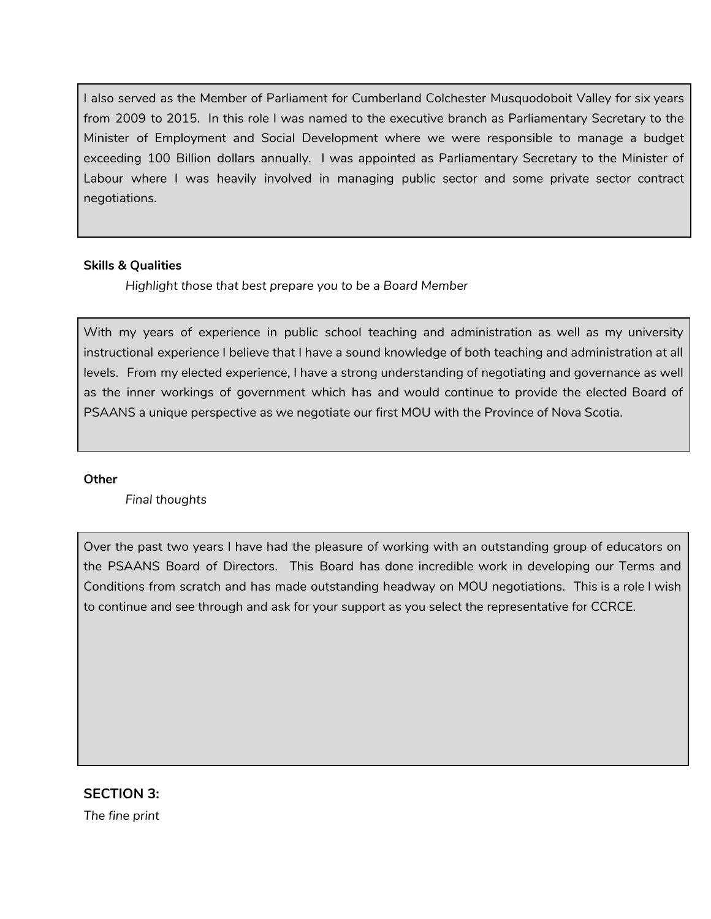I also served as the Member of Parliament for Cumberland Colchester Musquodoboit Valley for six years from 2009 to 2015. In this role I was named to the executive branch as Parliamentary Secretary to the Minister of Employment and Social Development where we were responsible to manage a budget exceeding 100 Billion dollars annually. I was appointed as Parliamentary Secretary to the Minister of Labour where I was heavily involved in managing public sector and some private sector contract negotiations.

### **Skills & Qualities**

*Highlight those that best prepare you to be a Board Member*

With my years of experience in public school teaching and administration as well as my university instructional experience I believe that I have a sound knowledge of both teaching and administration at all levels. From my elected experience, I have a strong understanding of negotiating and governance as well as the inner workings of government which has and would continue to provide the elected Board of PSAANS a unique perspective as we negotiate our first MOU with the Province of Nova Scotia.

#### **Other**

*Final thoughts*

Over the past two years I have had the pleasure of working with an outstanding group of educators on the PSAANS Board of Directors. This Board has done incredible work in developing our Terms and Conditions from scratch and has made outstanding headway on MOU negotiations. This is a role I wish to continue and see through and ask for your support as you select the representative for CCRCE.